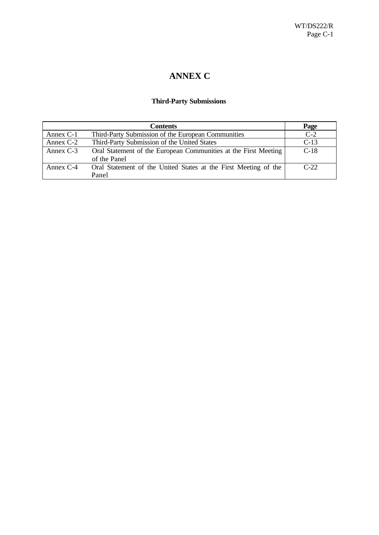# **ANNEX C**

## **Third-Party Submissions**

|           | <b>Contents</b>                                                 | Page   |
|-----------|-----------------------------------------------------------------|--------|
| Annex C-1 | Third-Party Submission of the European Communities              | $C-2$  |
| Annex C-2 | Third-Party Submission of the United States                     | $C-13$ |
| Annex C-3 | Oral Statement of the European Communities at the First Meeting | $C-18$ |
|           | of the Panel                                                    |        |
| Annex C-4 | Oral Statement of the United States at the First Meeting of the | $C-22$ |
|           | Panel                                                           |        |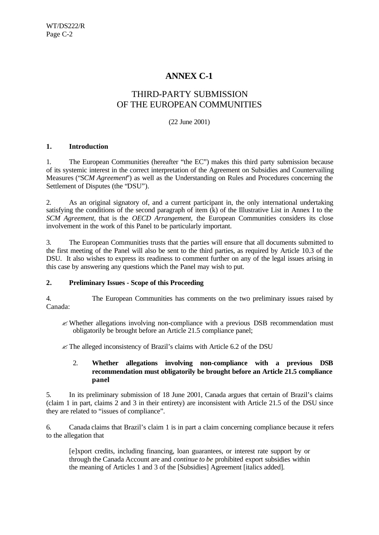## **ANNEX C-1**

## THIRD-PARTY SUBMISSION OF THE EUROPEAN COMMUNITIES

## (22 June 2001)

#### **1. Introduction**

1. The European Communities (hereafter "the EC") makes this third party submission because of its systemic interest in the correct interpretation of the Agreement on Subsidies and Countervailing Measures ("*SCM Agreement*") as well as the Understanding on Rules and Procedures concerning the Settlement of Disputes (the "DSU").

2. As an original signatory of, and a current participant in, the only international undertaking satisfying the conditions of the second paragraph of item (k) of the Illustrative List in Annex I to the *SCM Agreement,* that is the *OECD Arrangement,* the European Communities considers its close involvement in the work of this Panel to be particularly important.

3. The European Communities trusts that the parties will ensure that all documents submitted to the first meeting of the Panel will also be sent to the third parties, as required by Article 10.3 of the DSU. It also wishes to express its readiness to comment further on any of the legal issues arising in this case by answering any questions which the Panel may wish to put.

## **2. Preliminary Issues - Scope of this Proceeding**

4. The European Communities has comments on the two preliminary issues raised by Canada:

 $\mathcal{L}$  Whether allegations involving non-compliance with a previous DSB recommendation must obligatorily be brought before an Article 21.5 compliance panel;

 $\mathcal{L}$  The alleged inconsistency of Brazil's claims with Article 6.2 of the DSU

## 2. **Whether allegations involving non-compliance with a previous DSB recommendation must obligatorily be brought before an Article 21.5 compliance panel**

5. In its preliminary submission of 18 June 2001, Canada argues that certain of Brazil's claims (claim 1 in part, claims 2 and 3 in their entirety) are inconsistent with Article 21.5 of the DSU since they are related to "issues of compliance".

6. Canada claims that Brazil's claim 1 is in part a claim concerning compliance because it refers to the allegation that

[e]xport credits, including financing, loan guarantees, or interest rate support by or through the Canada Account are and *continue to be* prohibited export subsidies within the meaning of Articles 1 and 3 of the [Subsidies] Agreement [italics added].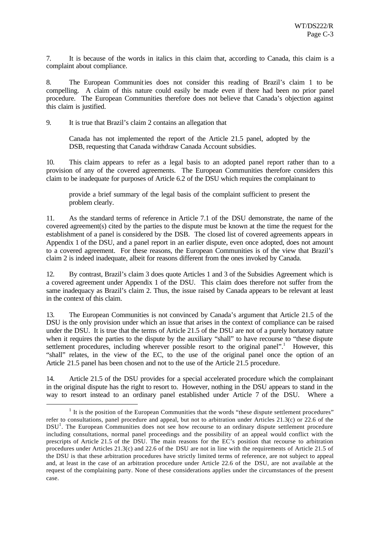7. It is because of the words in italics in this claim that, according to Canada, this claim is a complaint about compliance.

8. The European Communities does not consider this reading of Brazil's claim 1 to be compelling. A claim of this nature could easily be made even if there had been no prior panel procedure. The European Communities therefore does not believe that Canada's objection against this claim is justified.

9. It is true that Brazil's claim 2 contains an allegation that

l

Canada has not implemented the report of the Article 21.5 panel, adopted by the DSB, requesting that Canada withdraw Canada Account subsidies.

10. This claim appears to refer as a legal basis to an adopted panel report rather than to a provision of any of the covered agreements. The European Communities therefore considers this claim to be inadequate for purposes of Article 6.2 of the DSU which requires the complainant to

provide a brief summary of the legal basis of the complaint sufficient to present the problem clearly.

11. As the standard terms of reference in Article 7.1 of the DSU demonstrate, the name of the covered agreement(s) cited by the parties to the dispute must be known at the time the request for the establishment of a panel is considered by the DSB. The closed list of covered agreements appears in Appendix 1 of the DSU, and a panel report in an earlier dispute, even once adopted, does not amount to a covered agreement. For these reasons, the European Communities is of the view that Brazil's claim 2 is indeed inadequate, albeit for reasons different from the ones invoked by Canada.

12. By contrast, Brazil's claim 3 does quote Articles 1 and 3 of the Subsidies Agreement which is a covered agreement under Appendix 1 of the DSU. This claim does therefore not suffer from the same inadequacy as Brazil's claim 2. Thus, the issue raised by Canada appears to be relevant at least in the context of this claim.

13. The European Communities is not convinced by Canada's argument that Article 21.5 of the DSU is the only provision under which an issue that arises in the context of compliance can be raised under the DSU. It is true that the terms of Article 21.5 of the DSU are not of a purely hortatory nature when it requires the parties to the dispute by the auxiliary "shall" to have recourse to "these dispute settlement procedures, including wherever possible resort to the original panel".<sup>1</sup> However, this "shall" relates, in the view of the EC, to the use of the original panel once the option of an Article 21.5 panel has been chosen and not to the use of the Article 21.5 procedure.

14. Article 21.5 of the DSU provides for a special accelerated procedure which the complainant in the original dispute has the right to resort to. However, nothing in the DSU appears to stand in the way to resort instead to an ordinary panel established under Article 7 of the DSU. Where a

 $<sup>1</sup>$  It is the position of the European Communities that the words "these dispute settlement procedures"</sup> refer to consultations, panel procedure and appeal, but not to arbitration under Articles 21.3(c) or 22.6 of the DSU<sup>1</sup>. The European Communities does not see how recourse to an ordinary dispute settlement procedure including consultations, normal panel proceedings and the possibility of an appeal would conflict with the prescripts of Article 21.5 of the DSU. The main reasons for the EC's position that recourse to arbitration procedures under Articles 21.3(c) and 22.6 of the DSU are not in line with the requirements of Article 21.5 of the DSU is that these arbitration procedures have strictly limited terms of reference, are not subject to appeal and, at least in the case of an arbitration procedure under Article 22.6 of the DSU, are not available at the request of the complaining party. None of these considerations applies under the circumstances of the present case.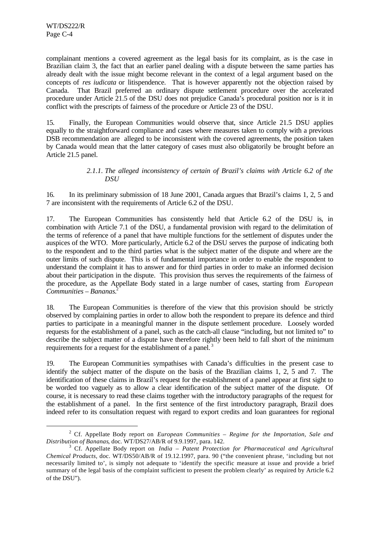l

complainant mentions a covered agreement as the legal basis for its complaint, as is the case in Brazilian claim 3, the fact that an earlier panel dealing with a dispute between the same parties has already dealt with the issue might become relevant in the context of a legal argument based on the concepts of *res iudicata* or litispendence. That is however apparently not the objection raised by Canada. That Brazil preferred an ordinary dispute settlement procedure over the accelerated procedure under Article 21.5 of the DSU does not prejudice Canada's procedural position nor is it in conflict with the prescripts of fairness of the procedure or Article 23 of the DSU.

15. Finally, the European Communities would observe that, since Article 21.5 DSU applies equally to the straightforward compliance and cases where measures taken to comply with a previous DSB recommendation are alleged to be inconsistent with the covered agreements, the position taken by Canada would mean that the latter category of cases must also obligatorily be brought before an Article 21.5 panel.

### *2.1.1. The alleged inconsistency of certain of Brazil's claims with Article 6.2 of the DSU*

16. In its preliminary submission of 18 June 2001, Canada argues that Brazil's claims 1, 2, 5 and 7 are inconsistent with the requirements of Article 6.2 of the DSU.

17. The European Communities has consistently held that Article 6.2 of the DSU is, in combination with Article 7.1 of the DSU, a fundamental provision with regard to the delimitation of the terms of reference of a panel that have multiple functions for the settlement of disputes under the auspices of the WTO. More particularly, Article 6.2 of the DSU serves the purpose of indicating both to the respondent and to the third parties what is the subject matter of the dispute and where are the outer limits of such dispute. This is of fundamental importance in order to enable the respondent to understand the complaint it has to answer and for third parties in order to make an informed decision about their participation in the dispute. This provision thus serves the requirements of the fairness of the procedure, as the Appellate Body stated in a large number of cases, starting from *European Communities – Bananas.*<sup>2</sup>

18. The European Communities is therefore of the view that this provision should be strictly observed by complaining parties in order to allow both the respondent to prepare its defence and third parties to participate in a meaningful manner in the dispute settlement procedure. Loosely worded requests for the establishment of a panel, such as the catch-all clause "including, but not limited to" to describe the subject matter of a dispute have therefore rightly been held to fall short of the minimum requirements for a request for the establishment of a panel.<sup>3</sup>

19. The European Communities sympathises with Canada's difficulties in the present case to identify the subject matter of the dispute on the basis of the Brazilian claims 1, 2, 5 and 7. The identification of these claims in Brazil's request for the establishment of a panel appear at first sight to be worded too vaguely as to allow a clear identification of the subject matter of the dispute. Of course, it is necessary to read these claims together with the introductory paragraphs of the request for the establishment of a panel. In the first sentence of the first introductory paragraph, Brazil does indeed refer to its consultation request with regard to export credits and loan guarantees for regional

<sup>2</sup> Cf. Appellate Body report on *European Communities – Regime for the Importation, Sale and Distribution of Bananas*, doc. WT/DS27/AB/R of 9.9.1997, para. 142.

<sup>3</sup> Cf. Appellate Body report on *India – Patent Protection for Pharmaceutical and Agricultural Chemical Products*, doc. WT/DS50/AB/R of 19.12.1997, para. 90 ("the convenient phrase, 'including but not necessarily limited to', is simply not adequate to 'identify the specific measure at issue and provide a brief summary of the legal basis of the complaint sufficient to present the problem clearly' as required by Article 6.2 of the DSU").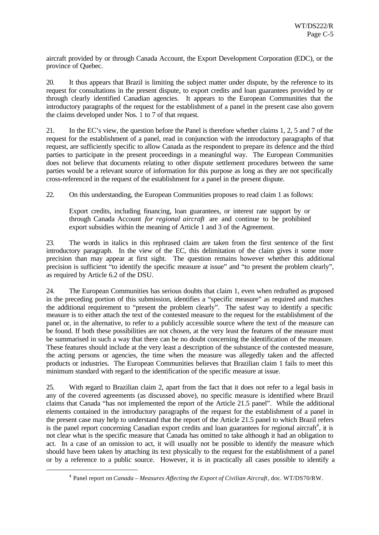aircraft provided by or through Canada Account, the Export Development Corporation (EDC), or the province of Quebec.

20. It thus appears that Brazil is limiting the subject matter under dispute, by the reference to its request for consultations in the present dispute, to export credits and loan guarantees provided by or through clearly identified Canadian agencies. It appears to the European Communities that the introductory paragraphs of the request for the establishment of a panel in the present case also govern the claims developed under Nos. 1 to 7 of that request.

21. In the EC's view, the question before the Panel is therefore whether claims 1, 2, 5 and 7 of the request for the establishment of a panel, read in conjunction with the introductory paragraphs of that request, are sufficiently specific to allow Canada as the respondent to prepare its defence and the third parties to participate in the present proceedings in a meaningful way. The European Communities does not believe that documents relating to other dispute settlement procedures between the same parties would be a relevant source of information for this purpose as long as they are not specifically cross-referenced in the request of the establishment for a panel in the present dispute.

22. On this understanding, the European Communities proposes to read claim 1 as follows:

Export credits, including financing, loan guarantees, or interest rate support by or through Canada Account *for regional aircraft* are and continue to be prohibited export subsidies within the meaning of Article 1 and 3 of the Agreement.

23. The words in italics in this rephrased claim are taken from the first sentence of the first introductory paragraph. In the view of the EC, this delimitation of the claim gives it some more precision than may appear at first sight. The question remains however whether this additional precision is sufficient "to identify the specific measure at issue" and "to present the problem clearly", as required by Article 6.2 of the DSU.

24. The European Communities has serious doubts that claim 1, even when redrafted as proposed in the preceding portion of this submission, identifies a "specific measure" as required and matches the additional requirement to "present the problem clearly". The safest way to identify a specific measure is to either attach the text of the contested measure to the request for the establishment of the panel or, in the alternative, to refer to a publicly accessible source where the text of the measure can be found. If both these possibilities are not chosen, at the very least the features of the measure must be summarised in such a way that there can be no doubt concerning the identification of the measure. These features should include at the very least a description of the substance of the contested measure, the acting persons or agencies, the time when the measure was allegedly taken and the affected products or industries. The European Communities believes that Brazilian claim 1 fails to meet this minimum standard with regard to the identification of the specific measure at issue.

25. With regard to Brazilian claim 2, apart from the fact that it does not refer to a legal basis in any of the covered agreements (as discussed above), no specific measure is identified where Brazil claims that Canada "has not implemented the report of the Article 21.5 panel". While the additional elements contained in the introductory paragraphs of the request for the establishment of a panel in the present case may help to understand that the report of the Article 21.5 panel to which Brazil refers is the panel report concerning Canadian export credits and loan guarantees for regional aircraft<sup>4</sup>, it is not clear what is the specific measure that Canada has omitted to take although it had an obligation to act. In a case of an omission to act, it will usually not be possible to identify the measure which should have been taken by attaching its text physically to the request for the establishment of a panel or by a reference to a public source. However, it is in practically all cases possible to identify a

<sup>&</sup>lt;sup>4</sup> Panel report on *Canada – Measures Affecting the Export of Civilian Aircraft*, doc. WT/DS70/RW.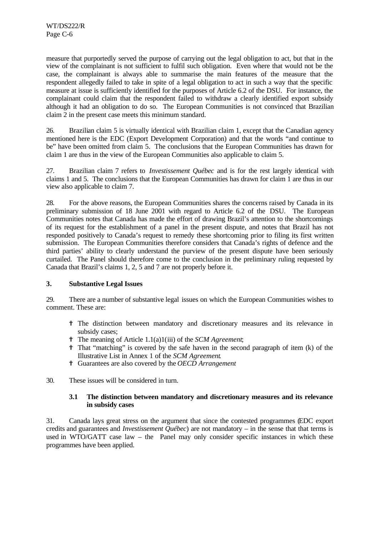measure that purportedly served the purpose of carrying out the legal obligation to act, but that in the view of the complainant is not sufficient to fulfil such obligation. Even where that would not be the case, the complainant is always able to summarise the main features of the measure that the respondent allegedly failed to take in spite of a legal obligation to act in such a way that the specific measure at issue is sufficiently identified for the purposes of Article 6.2 of the DSU. For instance, the complainant could claim that the respondent failed to withdraw a clearly identified export subsidy although it had an obligation to do so. The European Communities is not convinced that Brazilian claim 2 in the present case meets this minimum standard.

26. Brazilian claim 5 is virtually identical with Brazilian claim 1, except that the Canadian agency mentioned here is the EDC (Export Development Corporation) and that the words "and continue to be" have been omitted from claim 5. The conclusions that the European Communities has drawn for claim 1 are thus in the view of the European Communities also applicable to claim 5.

27. Brazilian claim 7 refers to *Investissement Québec* and is for the rest largely identical with claims 1 and 5. The conclusions that the European Communities has drawn for claim 1 are thus in our view also applicable to claim 7.

28. For the above reasons, the European Communities shares the concerns raised by Canada in its preliminary submission of 18 June 2001 with regard to Article 6.2 of the DSU. The European Communities notes that Canada has made the effort of drawing Brazil's attention to the shortcomings of its request for the establishment of a panel in the present dispute, and notes that Brazil has not responded positively to Canada's request to remedy these shortcoming prior to filing its first written submission. The European Communities therefore considers that Canada's rights of defence and the third parties' ability to clearly understand the purview of the present dispute have been seriously curtailed. The Panel should therefore come to the conclusion in the preliminary ruling requested by Canada that Brazil's claims 1, 2, 5 and 7 are not properly before it.

## **3. Substantive Legal Issues**

29. There are a number of substantive legal issues on which the European Communities wishes to comment. These are:

- ? The distinction between mandatory and discretionary measures and its relevance in subsidy cases;
- ? The meaning of Article 1.1(a)1(iii) of the *SCM Agreement*;
- ? That "matching" is covered by the safe haven in the second paragraph of item (k) of the Illustrative List in Annex 1 of the *SCM Agreement*.
- ? Guarantees are also covered by the *OECD Arrangement*

30. These issues will be considered in turn.

#### **3.1 The distinction between mandatory and discretionary measures and its relevance in subsidy cases**

31. Canada lays great stress on the argument that since the contested programmes (EDC export credits and guarantees and *Investissement Québec*) are not mandatory – in the sense that that terms is used in WTO/GATT case law – the Panel may only consider specific instances in which these programmes have been applied.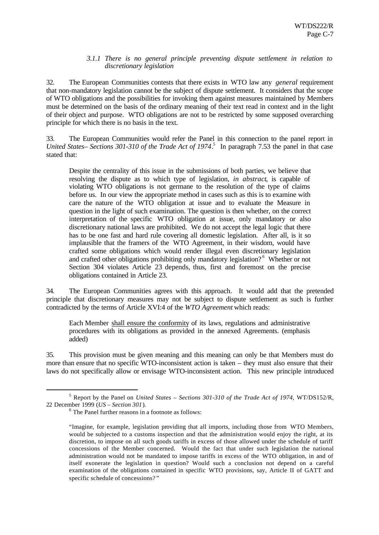#### *3.1.1 There is no general principle preventing dispute settlement in relation to discretionary legislation*

32. The European Communities contests that there exists in WTO law any *general* requirement that non-mandatory legislation cannot be the subject of dispute settlement. It considers that the scope of WTO obligations and the possibilities for invoking them against measures maintained by Members must be determined on the basis of the ordinary meaning of their text read in context and in the light of their object and purpose. WTO obligations are not to be restricted by some supposed overarching principle for which there is no basis in the text.

33. The European Communities would refer the Panel in this connection to the panel report in *United States– Sections 301-310 of the Trade Act of 1974*. 5 In paragraph 7.53 the panel in that case stated that:

Despite the centrality of this issue in the submissions of both parties, we believe that resolving the dispute as to which type of legislation, *in abstract*, is capable of violating WTO obligations is not germane to the resolution of the type of claims before us. In our view the appropriate method in cases such as this is to examine with care the nature of the WTO obligation at issue and to evaluate the Measure in question in the light of such examination. The question is then whether, on the correct interpretation of the specific WTO obligation at issue, only mandatory or also discretionary national laws are prohibited. We do not accept the legal logic that there has to be one fast and hard rule covering all domestic legislation. After all, is it so implausible that the framers of the WTO Agreement, in their wisdom, would have crafted some obligations which would render illegal even discretionary legislation and crafted other obligations prohibiting only mandatory legislation?<sup>6</sup> Whether or not Section 304 violates Article 23 depends, thus, first and foremost on the precise obligations contained in Article 23.

34. The European Communities agrees with this approach. It would add that the pretended principle that discretionary measures may not be subject to dispute settlement as such is further contradicted by the terms of Article XVI:4 of the *WTO Agreement* which reads:

Each Member shall ensure the conformity of its laws, regulations and administrative procedures with its obligations as provided in the annexed Agreements. (emphasis added)

35. This provision must be given meaning and this meaning can only be that Members must do more than ensure that no specific WTO-inconsistent action is taken – they must also ensure that their laws do not specifically allow or envisage WTO-inconsistent action. This new principle introduced

<sup>5</sup> Report by the Panel on *United States – Sections 301-310 of the Trade Act of 1974*, WT/DS152/R, 22 December 1999 (*US – Section 301*).

 $6$  The Panel further reasons in a footnote as follows:

<sup>&</sup>quot;Imagine, for example, legislation providing that all imports, including those from WTO Members, would be subjected to a customs inspection and that the administration would enjoy the right, at its discretion, to impose on all such goods tariffs in excess of those allowed under the schedule of tariff concessions of the Member concerned. Would the fact that under such legislation the national administration would not be mandated to impose tariffs in excess of the WTO obligation, in and of itself exonerate the legislation in question? Would such a conclusion not depend on a careful examination of the obligations contained in specific WTO provisions, say, Article II of GATT and specific schedule of concessions? "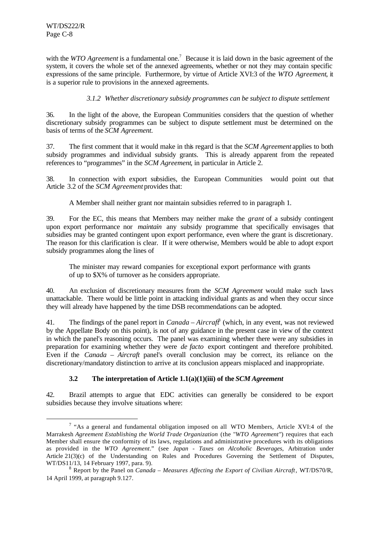l

with the *WTO Agreement* is a fundamental one.<sup>7</sup> Because it is laid down in the basic agreement of the system, it covers the whole set of the annexed agreements, whether or not they may contain specific expressions of the same principle. Furthermore, by virtue of Article XVI:3 of the *WTO Agreement*, it is a superior rule to provisions in the annexed agreements.

## *3.1.2 Whether discretionary subsidy programmes can be subject to dispute settlement*

36. In the light of the above, the European Communities considers that the question of whether discretionary subsidy programmes can be subject to dispute settlement must be determined on the basis of terms of the *SCM Agreement.*

37. The first comment that it would make in this regard is that the *SCM Agreement* applies to both subsidy programmes and individual subsidy grants. This is already apparent from the repeated references to "programmes" in the *SCM Agreement*, in particular in Article 2.

38. In connection with export subsidies, the European Communities would point out that Article 3.2 of the *SCM Agreement* provides that:

A Member shall neither grant nor maintain subsidies referred to in paragraph 1.

39. For the EC, this means that Members may neither make the *grant* of a subsidy contingent upon export performance nor *maintain* any subsidy programme that specifically envisages that subsidies may be granted contingent upon export performance, even where the grant is discretionary. The reason for this clarification is clear. If it were otherwise, Members would be able to adopt export subsidy programmes along the lines of

The minister may reward companies for exceptional export performance with grants of up to \$X% of turnover as he considers appropriate.

40. An exclusion of discretionary measures from the *SCM Agreement* would make such laws unattackable. There would be little point in attacking individual grants as and when they occur since they will already have happened by the time DSB recommendations can be adopted.

41. The findings of the panel report in *Canada – Aircraft*<sup>8</sup> (which, in any event, was not reviewed by the Appellate Body on this point), is not of any guidance in the present case in view of the context in which the panel's reasoning occurs. The panel was examining whether there were any subsidies in preparation for examining whether they were *de facto* export contingent and therefore prohibited. Even if the *Canada – Aircraft* panel's overall conclusion may be correct, its reliance on the discretionary/mandatory distinction to arrive at its conclusion appears misplaced and inappropriate.

## **3.2 The interpretation of Article 1.1(a)(1)(iii) of the** *SCM Agreement*

42. Brazil attempts to argue that EDC activities can generally be considered to be export subsidies because they involve situations where:

 $7$  "As a general and fundamental obligation imposed on all WTO Members, Article XVI:4 of the Marrakesh *Agreement Establishing the World Trade Organization* (the "*WTO Agreement"*) requires that each Member shall ensure the conformity of its laws, regulations and administrative procedures with its obligations as provided in the *WTO Agreement*." (see *Japan - Taxes on Alcoholic Beverages*, Arbitration under Article 21(3)(c) of the Understanding on Rules and Procedures Governing the Settlement of Disputes, WT/DS11/13, 14 February 1997, para. 9).

<sup>&</sup>lt;sup>8</sup> Report by the Panel on *Canada – Measures Affecting the Export of Civilian Aircraft*, WT/DS70/R, 14 April 1999, at paragraph 9.127.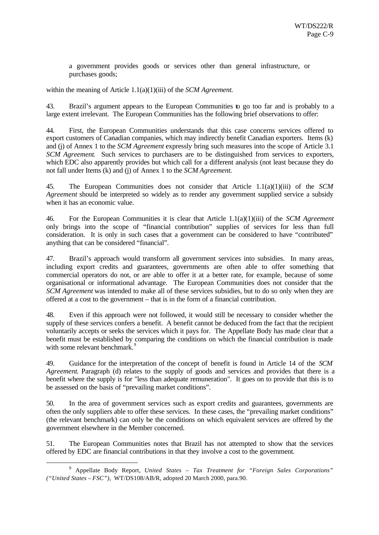a government provides goods or services other than general infrastructure, or purchases goods;

within the meaning of Article 1.1(a)(1)(iii) of the *SCM Agreement.*

43. Brazil's argument appears to the European Communities to go too far and is probably to a large extent irrelevant. The European Communities has the following brief observations to offer:

44. First, the European Communities understands that this case concerns services offered to export customers of Canadian companies, which may indirectly benefit Canadian exporters. Items (k) and (j) of Annex 1 to the *SCM Agreement* expressly bring such measures into the scope of Article 3.1 *SCM Agreement*. Such services to purchasers are to be distinguished from services to exporters, which EDC also apparently provides but which call for a different analysis (not least because they do not fall under Items (k) and (j) of Annex 1 to the *SCM Agreement.*

45. The European Communities does not consider that Article 1.1(a)(1)(iii) of the *SCM Agreement* should be interpreted so widely as to render any government supplied service a subsidy when it has an economic value.

46. For the European Communities it is clear that Article 1.1(a)(1)(iii) of the *SCM Agreement* only brings into the scope of "financial contribution" supplies of services for less than full consideration. It is only in such cases that a government can be considered to have "contributed" anything that can be considered "financial".

47. Brazil's approach would transform all government services into subsidies. In many areas, including export credits and guarantees, governments are often able to offer something that commercial operators do not, or are able to offer it at a better rate, for example, because of some organisational or informational advantage. The European Communities does not consider that the *SCM Agreement* was intended to make all of these services subsidies, but to do so only when they are offered at a cost to the government – that is in the form of a financial contribution.

48. Even if this approach were not followed, it would still be necessary to consider whether the supply of these services confers a benefit. A benefit cannot be deduced from the fact that the recipient voluntarily accepts or seeks the services which it pays for. The Appellate Body has made clear that a benefit must be established by comparing the conditions on which the financial contribution is made with some relevant benchmark.<sup>9</sup>

49. Guidance for the interpretation of the concept of benefit is found in Article 14 of the *SCM Agreement*. Paragraph (d) relates to the supply of goods and services and provides that there is a benefit where the supply is for "less than adequate remuneration". It goes on to provide that this is to be assessed on the basis of "prevailing market conditions".

50. In the area of government services such as export credits and guarantees, governments are often the only suppliers able to offer these services. In these cases, the "prevailing market conditions" (the relevant benchmark) can only be the conditions on which equivalent services are offered by the government elsewhere in the Member concerned.

51. The European Communities notes that Brazil has not attempted to show that the services offered by EDC are financial contributions in that they involve a cost to the government.

<sup>9</sup> Appellate Body Report, *United States – Tax Treatment for "Foreign Sales Corporations" ("United States – FSC"),* WT/DS108/AB/R, adopted 20 March 2000, para.90.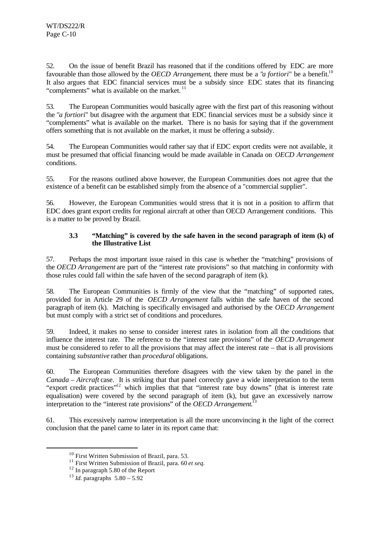52. On the issue of benefit Brazil has reasoned that if the conditions offered by EDC are more favourable than those allowed by the *OECD Arrangement*, there must be a "*a fortiori*" be a benefit.<sup>10</sup> It also argues that EDC financial services must be a subsidy since EDC states that its financing "complements" what is available on the market. $11$ 

53. The European Communities would basically agree with the first part of this reasoning without the "*a fortiori*" but disagree with the argument that EDC financial services must be a subsidy since it "complements" what is available on the market. There is no basis for saying that if the government offers something that is not available on the market, it must be offering a subsidy.

54. The European Communities would rather say that if EDC export credits were not available, it must be presumed that official financing would be made available in Canada on *OECD Arrangement* conditions.

55. For the reasons outlined above however, the European Communities does not agree that the existence of a benefit can be established simply from the absence of a "commercial supplier".

56. However, the European Communities would stress that it is not in a position to affirm that EDC does grant export credits for regional aircraft at other than OECD Arrangement conditions. This is a matter to be proved by Brazil.

### **3.3 "Matching" is covered by the safe haven in the second paragraph of item (k) of the Illustrative List**

57. Perhaps the most important issue raised in this case is whether the "matching" provisions of the *OECD Arrangement* are part of the "interest rate provisions" so that matching in conformity with those rules could fall within the safe haven of the second paragraph of item (k).

58. The European Communities is firmly of the view that the "matching" of supported rates, provided for in Article 29 of the *OECD Arrangement* falls within the safe haven of the second paragraph of item (k). Matching is specifically envisaged and authorised by the *OECD Arrangement* but must comply with a strict set of conditions and procedures.

59. Indeed, it makes no sense to consider interest rates in isolation from all the conditions that influence the interest rate. The reference to the "interest rate provisions" of the *OECD Arrangement* must be considered to refer to all the provisions that may affect the interest rate – that is all provisions containing *substantive* rather than *procedural* obligations.

60. The European Communities therefore disagrees with the view taken by the panel in the *Canada – Aircraft* case. It is striking that that panel correctly gave a wide interpretation to the term "export credit practices"<sup>12</sup> which implies that that "interest rate buy downs" (that is interest rate equalisation) were covered by the second paragraph of item (k), but gave an excessively narrow interpretation to the "interest rate provisions" of the *OECD Arrangement*. 13

61. This excessively narrow interpretation is all the more unconvincing in the light of the correct conclusion that the panel came to later in its report came that:

<sup>&</sup>lt;sup>10</sup> First Written Submission of Brazil, para. 53.

<sup>11</sup> First Written Submission of Brazil, para. 60 *et seq.*

 $12$  In paragraph 5.80 of the Report

<sup>13</sup> *Id.* paragraphs 5.80 – 5.92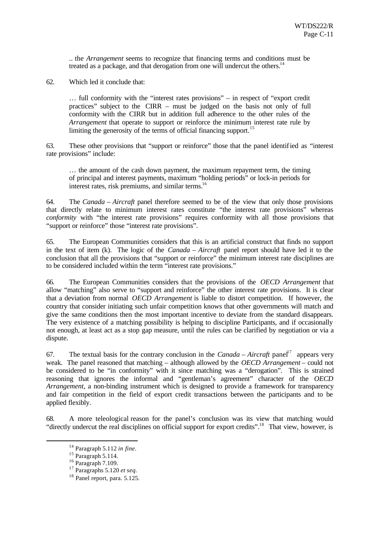.. the *Arrangement* seems to recognize that financing terms and conditions must be treated as a package, and that derogation from one will undercut the others.<sup>14</sup>

62. Which led it conclude that:

… full conformity with the "interest rates provisions" – in respect of "export credit practices" subject to the CIRR – must be judged on the basis not only of full conformity with the CIRR but in addition full adherence to the other rules of the *Arrangement* that operate to support or reinforce the minimum interest rate rule by limiting the generosity of the terms of official financing support.<sup>15</sup>

63. These other provisions that "support or reinforce" those that the panel identified as "interest rate provisions" include:

… the amount of the cash down payment, the maximum repayment term, the timing of principal and interest payments, maximum "holding periods" or lock-in periods for interest rates, risk premiums, and similar terms.<sup>16</sup>

64. The *Canada – Aircraft* panel therefore seemed to be of the view that only those provisions that directly relate to minimum interest rates constitute "the interest rate provisions" whereas *conformity* with "the interest rate provisions" requires conformity with all those provisions that "support or reinforce" those "interest rate provisions".

65. The European Communities considers that this is an artificial construct that finds no support in the text of item (k). The logic of the *Canada – Aircraft* panel report should have led it to the conclusion that all the provisions that "support or reinforce" the minimum interest rate disciplines are to be considered included within the term "interest rate provisions."

66. The European Communities considers that the provisions of the *OECD Arrangement* that allow "matching" also serve to "support and reinforce" the other interest rate provisions. It is clear that a deviation from normal *OECD Arrangement* is liable to distort competition. If however, the country that consider initiating such unfair competition knows that other governments will match and give the same conditions then the most important incentive to deviate from the standard disappears. The very existence of a matching possibility is helping to discipline Participants, and if occasionally not enough, at least act as a stop gap measure, until the rules can be clarified by negotiation or via a dispute.

67. The textual basis for the contrary conclusion in the *Canada – Aircraft* panel<sup>17</sup> appears very weak. The panel reasoned that matching – although allowed by the *OECD Arrangement* – could not be considered to be "in conformity" with it since matching was a "derogation". This is strained reasoning that ignores the informal and "gentleman's agreement" character of the *OECD Arrangement,* a non-binding instrument which is designed to provide a framework for transparency and fair competition in the field of export credit transactions between the participants and to be applied flexibly.

68. A more teleological reason for the panel's conclusion was its view that matching would "directly undercut the real disciplines on official support for export credits".<sup>18</sup> That view, however, is

<sup>14</sup> Paragraph 5.112 *in fine*.

 $15$  Paragraph 5.114.

 $16$  Paragraph 7.109.

<sup>17</sup> Paragraphs 5.120 *et seq.*

<sup>18</sup> Panel report, para. 5.125.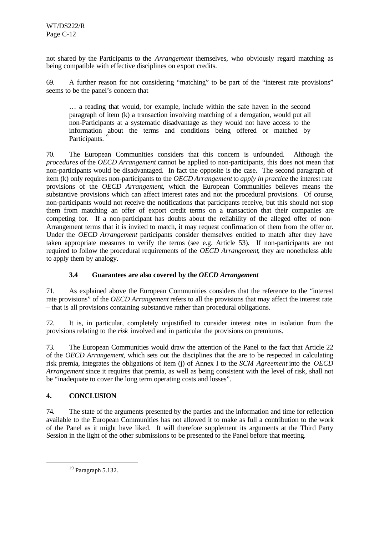not shared by the Participants to the *Arrangement* themselves, who obviously regard matching as being compatible with effective disciplines on export credits.

69. A further reason for not considering "matching" to be part of the "interest rate provisions" seems to be the panel's concern that

… a reading that would, for example, include within the safe haven in the second paragraph of item (k) a transaction involving matching of a derogation, would put all non-Participants at a systematic disadvantage as they would not have access to the information about the terms and conditions being offered or matched by Participants.<sup>19</sup>

70. The European Communities considers that this concern is unfounded. Although the *procedures* of the *OECD Arrangement* cannot be applied to non-participants, this does not mean that non-participants would be disadvantaged. In fact the opposite is the case. The second paragraph of item (k) only requires non-participants to the *OECD Arrangement* to *apply in practice* the interest rate provisions of the *OECD Arrangement*, which the European Communities believes means the substantive provisions which can affect interest rates and not the procedural provisions. Of course, non-participants would not receive the notifications that participants receive, but this should not stop them from matching an offer of export credit terms on a transaction that their companies are competing for. If a non-participant has doubts about the reliability of the alleged offer of non-Arrangement terms that it is invited to match, it may request confirmation of them from the offer or. Under the *OECD Arrangement* participants consider themselves entitled to match after they have taken appropriate measures to verify the terms (see e.g. Article 53). If non-participants are not required to follow the procedural requirements of the *OECD Arrangement*, they are nonetheless able to apply them by analogy.

## **3.4 Guarantees are also covered by the** *OECD Arrangement*

71. As explained above the European Communities considers that the reference to the "interest rate provisions" of the *OECD Arrangement* refers to all the provisions that may affect the interest rate – that is all provisions containing substantive rather than procedural obligations.

72. It is, in particular, completely unjustified to consider interest rates in isolation from the provisions relating to the *risk* involved and in particular the provisions on premiums.

73. The European Communities would draw the attention of the Panel to the fact that Article 22 of the *OECD Arrangement*, which sets out the disciplines that the are to be respected in calculating risk premia, integrates the obligations of item (j) of Annex I to the *SCM Agreement* into the *OECD Arrangement* since it requires that premia, as well as being consistent with the level of risk, shall not be "inadequate to cover the long term operating costs and losses".

## **4. CONCLUSION**

l

74. The state of the arguments presented by the parties and the information and time for reflection available to the European Communities has not allowed it to make as full a contribution to the work of the Panel as it might have liked. It will therefore supplement its arguments at the Third Party Session in the light of the other submissions to be presented to the Panel before that meeting.

<sup>19</sup> Paragraph 5.132.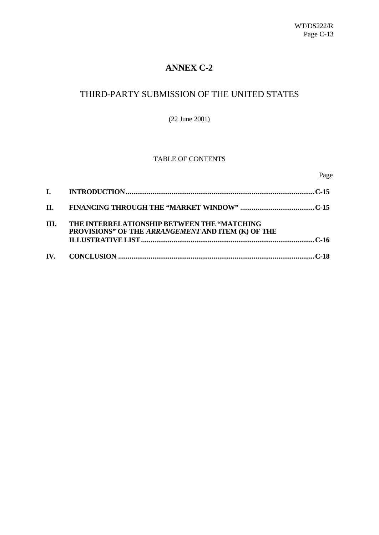## **ANNEX C-2**

## THIRD-PARTY SUBMISSION OF THE UNITED STATES

## (22 June 2001)

## TABLE OF CONTENTS

|                | Page                                                                                               |
|----------------|----------------------------------------------------------------------------------------------------|
| $\mathbf{I}$ . |                                                                                                    |
| II.            |                                                                                                    |
| III.           | THE INTERRELATIONSHIP BETWEEN THE "MATCHING"<br>PROVISIONS" OF THE ARRANGEMENT AND ITEM (K) OF THE |
|                |                                                                                                    |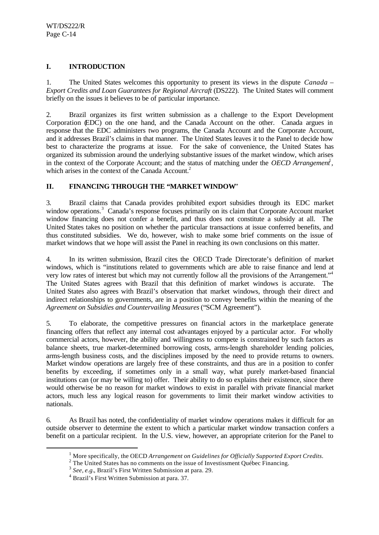## **I. INTRODUCTION**

1. The United States welcomes this opportunity to present its views in the dispute *Canada – Export Credits and Loan Guarantees for Regional Aircraft (DS222). The United States will comment* briefly on the issues it believes to be of particular importance.

2. Brazil organizes its first written submission as a challenge to the Export Development Corporation (EDC) on the one hand, and the Canada Account on the other. Canada argues in response that the EDC administers two programs, the Canada Account and the Corporate Account, and it addresses Brazil's claims in that manner. The United States leaves it to the Panel to decide how best to characterize the programs at issue. For the sake of convenience, the United States has organized its submission around the underlying substantive issues of the market window, which arises in the context of the Corporate Account; and the status of matching under the *OECD Arrangement*, which arises in the context of the Canada Account.<sup>2</sup>

## **II. FINANCING THROUGH THE "MARKET WINDOW**"

3. Brazil claims that Canada provides prohibited export subsidies through its EDC market window operations.<sup>3</sup> Canada's response focuses primarily on its claim that Corporate Account market window financing does not confer a benefit, and thus does not constitute a subsidy at all. The United States takes no position on whether the particular transactions at issue conferred benefits, and thus constituted subsidies. We do, however, wish to make some brief comments on the issue of market windows that we hope will assist the Panel in reaching its own conclusions on this matter.

4. In its written submission, Brazil cites the OECD Trade Directorate's definition of market windows, which is "institutions related to governments which are able to raise finance and lend at very low rates of interest but which may not currently follow all the provisions of the Arrangement."<sup>4</sup> The United States agrees with Brazil that this definition of market windows is accurate. The United States also agrees with Brazil's observation that market windows, through their direct and indirect relationships to governments, are in a position to convey benefits within the meaning of the *Agreement on Subsidies and Countervailing Measures* ("SCM Agreement").

5. To elaborate, the competitive pressures on financial actors in the marketplace generate financing offers that reflect any internal cost advantages enjoyed by a particular actor. For wholly commercial actors, however, the ability and willingness to compete is constrained by such factors as balance sheets, true market-determined borrowing costs, arms-length shareholder lending policies, arms-length business costs, and the disciplines imposed by the need to provide returns to owners. Market window operations are largely free of these constraints, and thus are in a position to confer benefits by exceeding, if sometimes only in a small way, what purely market-based financial institutions can (or may be willing to) offer. Their ability to do so explains their existence, since there would otherwise be no reason for market windows to exist in parallel with private financial market actors, much less any logical reason for governments to limit their market window activities to nationals.

6. As Brazil has noted, the confidentiality of market window operations makes it difficult for an outside observer to determine the extent to which a particular market window transaction confers a benefit on a particular recipient. In the U.S. view, however, an appropriate criterion for the Panel to

<sup>&</sup>lt;sup>1</sup> More specifically, the OECD Arrangement on Guidelines for Officially Supported Export Credits.

 $2^2$  The United States has no comments on the issue of Investissment Québec Financing.

<sup>3</sup> *See*, *e.g.*, Brazil's First Written Submission at para. 29.

<sup>&</sup>lt;sup>4</sup> Brazil's First Written Submission at para. 37.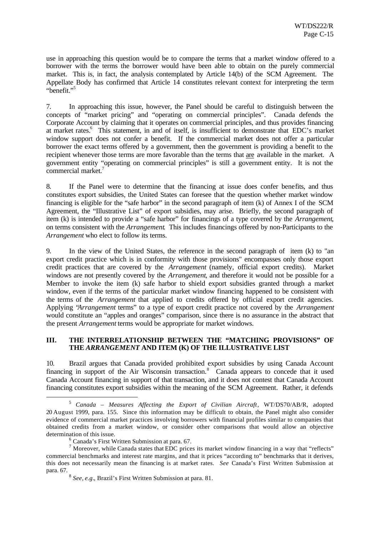use in approaching this question would be to compare the terms that a market window offered to a borrower with the terms the borrower would have been able to obtain on the purely commercial market. This is, in fact, the analysis contemplated by Article 14(b) of the SCM Agreement. The Appellate Body has confirmed that Article 14 constitutes relevant context for interpreting the term "benefit."<sup>5</sup>

7. In approaching this issue, however, the Panel should be careful to distinguish between the concepts of "market pricing" and "operating on commercial principles". Canada defends the Corporate Account by claiming that it operates on commercial principles, and thus provides financing at market rates.<sup>6</sup> This statement, in and of itself, is insufficient to demonstrate that EDC's market window support does not confer a benefit. If the commercial market does not offer a particular borrower the exact terms offered by a government, then the government is providing a benefit to the recipient whenever those terms are more favorable than the terms that are available in the market. A government entity "operating on commercial principles" is still a government entity. It is not the commercial market.<sup>7</sup>

8. If the Panel were to determine that the financing at issue does confer benefits, and thus constitutes export subsidies, the United States can foresee that the question whether market window financing is eligible for the "safe harbor" in the second paragraph of item (k) of Annex I of the SCM Agreement, the "Illustrative List" of export subsidies, may arise. Briefly, the second paragraph of item (k) is intended to provide a "safe harbor" for financings of a type covered by the *Arrangement*, on terms consistent with the *Arrangement*. This includes financings offered by non-Participants to the *Arrangement* who elect to follow its terms.

9. In the view of the United States, the reference in the second paragraph of item (k) to "an export credit practice which is in conformity with those provisions" encompasses only those export credit practices that are covered by the *Arrangement* (namely, official export credits). Market windows are not presently covered by the *Arrangement*, and therefore it would not be possible for a Member to invoke the item (k) safe harbor to shield export subsidies granted through a market window, even if the terms of the particular market window financing happened to be consistent with the terms of the *Arrangement* that applied to credits offered by official export credit agencies. Applying "*Arrangement* terms" to a type of export credit practice not covered by the *Arrangement* would constitute an "apples and oranges" comparison, since there is no assurance in the abstract that the present *Arrangement* terms would be appropriate for market windows.

#### **III. THE INTERRELATIONSHIP BETWEEN THE "MATCHING PROVISIONS" OF THE** *ARRANGEMENT* **AND ITEM (K) OF THE ILLUSTRATIVE LIST**

10. Brazil argues that Canada provided prohibited export subsidies by using Canada Account financing in support of the Air Wisconsin transaction.<sup>8</sup> Canada appears to concede that it used Canada Account financing in support of that transaction, and it does not contest that Canada Account financing constitutes export subsidies within the meaning of the SCM Agreement. Rather, it defends

<sup>&</sup>lt;sup>5</sup> Canada – Measures Affecting the Export of Civilian Aircraft, WT/DS70/AB/R, adopted 20 August 1999, para. 155. Since this information may be difficult to obtain, the Panel might also consider evidence of commercial market practices involving borrowers with financial profiles similar to companies that obtained credits from a market window, or consider other comparisons that would allow an objective determination of this issue.

 $6$  Canada's First Written Submission at para. 67.

 $<sup>7</sup>$  Moreover, while Canada states that EDC prices its market window financing in a way that "reflects"</sup> commercial benchmarks and interest rate margins, and that it prices "according to" benchmarks that it derives, this does not necessarily mean the financing is at market rates. *See* Canada's First Written Submission at para. 67.

<sup>8</sup> *See*, *e.g.*, Brazil's First Written Submission at para. 81.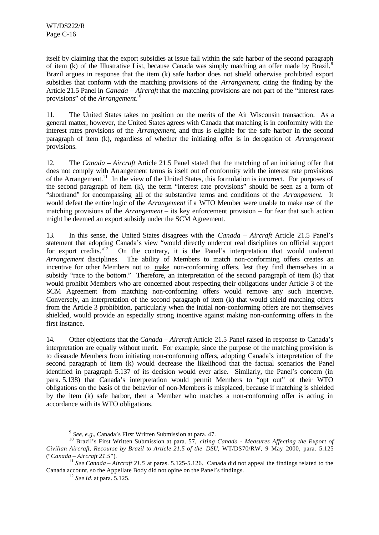itself by claiming that the export subsidies at issue fall within the safe harbor of the second paragraph of item (k) of the Illustrative List, because Canada was simply matching an offer made by Brazil.<sup>9</sup> Brazil argues in response that the item (k) safe harbor does not shield otherwise prohibited export subsidies that conform with the matching provisions of the *Arrangement*, citing the finding by the Article 21.5 Panel in *Canada – Aircraft* that the matching provisions are not part of the "interest rates provisions" of the *Arrangement*. 10

11. The United States takes no position on the merits of the Air Wisconsin transaction. As a general matter, however, the United States agrees with Canada that matching is in conformity with the interest rates provisions of the *Arrangement*, and thus is eligible for the safe harbor in the second paragraph of item (k), regardless of whether the initiating offer is in derogation of *Arrangement* provisions.

12. The *Canada – Aircraft* Article 21.5 Panel stated that the matching of an initiating offer that does not comply with Arrangement terms is itself out of conformity with the interest rate provisions of the Arrangement.<sup>11</sup> In the view of the United States, this formulation is incorrect. For purposes of the second paragraph of item (k), the term "interest rate provisions" should be seen as a form of "shorthand" for encompassing all of the substantive terms and conditions of the *Arrangement.* It would defeat the entire logic of the *Arrangement* if a WTO Member were unable to make use of the matching provisions of the *Arrangement* – its key enforcement provision – for fear that such action might be deemed an export subsidy under the SCM Agreement.

13. In this sense, the United States disagrees with the *Canada – Aircraft* Article 21.5 Panel's statement that adopting Canada's view "would directly undercut real disciplines on official support for export credits. $12^{\degree}$  On the contrary, it is the Panel's interpretation that would undercut *Arrangement* disciplines. The ability of Members to match non-conforming offers creates an incentive for other Members not to make non-conforming offers, lest they find themselves in a subsidy "race to the bottom." Therefore, an interpretation of the second paragraph of item (k) that would prohibit Members who are concerned about respecting their obligations under Article 3 of the SCM Agreement from matching non-conforming offers would remove any such incentive. Conversely, an interpretation of the second paragraph of item (k) that would shield matching offers from the Article 3 prohibition, particularly when the initial non-conforming offers are not themselves shielded, would provide an especially strong incentive against making non-conforming offers in the first instance.

14. Other objections that the *Canada – Aircraft* Article 21.5 Panel raised in response to Canada's interpretation are equally without merit. For example, since the purpose of the matching provision is to dissuade Members from initiating non-conforming offers, adopting Canada's interpretation of the second paragraph of item (k) would decrease the likelihood that the factual scenarios the Panel identified in paragraph 5.137 of its decision would ever arise. Similarly, the Panel's concern (in para. 5.138) that Canada's interpretation would permit Members to "opt out" of their WTO obligations on the basis of the behavior of non-Members is misplaced, because if matching is shielded by the item (k) safe harbor, then a Member who matches a non-conforming offer is acting in accordance with its WTO obligations.

<sup>9</sup> *See*, *e.g.*, Canada's First Written Submission at para. 47.

<sup>10</sup> Brazil's First Written Submission at para. 57, *citing Canada - Measures Affecting the Export of Civilian Aircraft, Recourse by Brazil to Article 21.5 of the DSU,* WT/DS70/RW, 9 May 2000, para. 5.125 ("*Canada – Aircraft 21.5"*).

<sup>11</sup> *See Canada – Aircraft 21.5* at paras. 5.125-5.126. Canada did not appeal the findings related to the Canada account, so the Appellate Body did not opine on the Panel's findings.

<sup>12</sup> *See id.* at para. 5.125.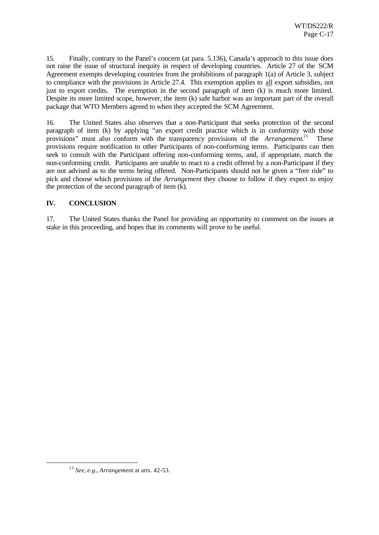15. Finally, contrary to the Panel's concern (at para. 5.136), Canada's approach to this issue does not raise the issue of structural inequity in respect of developing countries. Article 27 of the SCM Agreement exempts developing countries from the prohibitions of paragraph 1(a) of Article 3, subject to compliance with the provisions in Article 27.4. This exemption applies to all export subsidies, not just to export credits. The exemption in the second paragraph of item (k) is much more limited. Despite its more limited scope, however, the item (k) safe harbor was an important part of the overall package that WTO Members agreed to when they accepted the SCM Agreement.

16. The United States also observes that a non-Participant that seeks protection of the second paragraph of item (k) by applying "an export credit practice which is in conformity with those provisions" must also conform with the transparency provisions of the *Arrangement*.<sup>13</sup> These provisions require notification to other Participants of non-conforming terms. Participants can then seek to consult with the Participant offering non-conforming terms, and, if appropriate, match the non-conforming credit. Participants are unable to react to a credit offered by a non-Participant if they are not advised as to the terms being offered. Non-Participants should not be given a "free ride" to pick and choose which provisions of the *Arrangement* they choose to follow if they expect to enjoy the protection of the second paragraph of item  $(k)$ .

#### **IV. CONCLUSION**

17. The United States thanks the Panel for providing an opportunity to comment on the issues at stake in this proceeding, and hopes that its comments will prove to be useful.

<sup>13</sup> *See*, *e.g.*, *Arrangement* at arts. 42-53.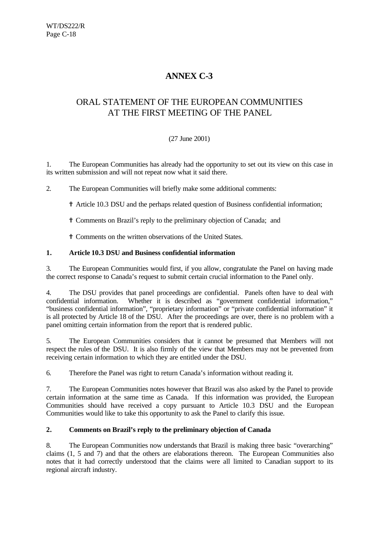## **ANNEX C-3**

## ORAL STATEMENT OF THE EUROPEAN COMMUNITIES AT THE FIRST MEETING OF THE PANEL

## (27 June 2001)

1. The European Communities has already had the opportunity to set out its view on this case in its written submission and will not repeat now what it said there.

2. The European Communities will briefly make some additional comments:

- ? Article 10.3 DSU and the perhaps related question of Business confidential information;
- ? Comments on Brazil's reply to the preliminary objection of Canada; and
- <sup> $\dagger$ </sup> Comments on the written observations of the United States.

## **1. Article 10.3 DSU and Business confidential information**

3. The European Communities would first, if you allow, congratulate the Panel on having made the correct response to Canada's request to submit certain crucial information to the Panel only.

4. The DSU provides that panel proceedings are confidential. Panels often have to deal with confidential information. Whether it is described as "government confidential information," "business confidential information", "proprietary information" or "private confidential information" it is all protected by Article 18 of the DSU. After the proceedings are over, there is no problem with a panel omitting certain information from the report that is rendered public.

5. The European Communities considers that it cannot be presumed that Members will not respect the rules of the DSU. It is also firmly of the view that Members may not be prevented from receiving certain information to which they are entitled under the DSU.

6. Therefore the Panel was right to return Canada's information without reading it.

7. The European Communities notes however that Brazil was also asked by the Panel to provide certain information at the same time as Canada. If this information was provided, the European Communities should have received a copy pursuant to Article 10.3 DSU and the European Communities would like to take this opportunity to ask the Panel to clarify this issue.

## **2. Comments on Brazil's reply to the preliminary objection of Canada**

8. The European Communities now understands that Brazil is making three basic "overarching" claims (1, 5 and 7) and that the others are elaborations thereon. The European Communities also notes that it had correctly understood that the claims were all limited to Canadian support to its regional aircraft industry.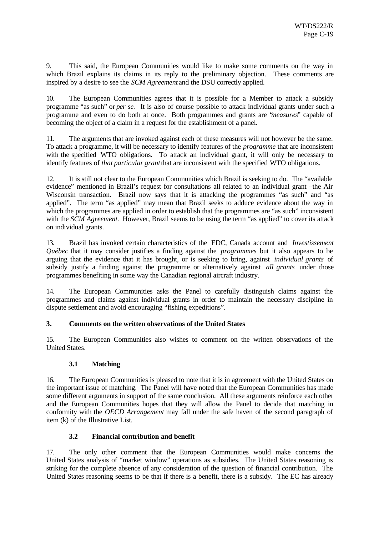9. This said, the European Communities would like to make some comments on the way in which Brazil explains its claims in its reply to the preliminary objection. These comments are inspired by a desire to see the *SCM Agreement* and the DSU correctly applied.

10. The European Communities agrees that it is possible for a Member to attack a subsidy programme "as such" or *per se*. It is also of course possible to attack individual grants under such a programme and even to do both at once. Both programmes and grants are "*measures*" capable of becoming the object of a claim in a request for the establishment of a panel.

11. The arguments that are invoked against each of these measures will not however be the same. To attack a programme, it will be necessary to identify features of the *programme* that are inconsistent with the specified WTO obligations. To attack an individual grant, it will only be necessary to identify features of *that particular grant* that are inconsistent with the specified WTO obligations.

12. It is still not clear to the European Communities which Brazil is seeking to do. The "available evidence" mentioned in Brazil's request for consultations all related to an individual grant –the Air Wisconsin transaction. Brazil now says that it is attacking the programmes "as such" and "as applied". The term "as applied" may mean that Brazil seeks to adduce evidence about the way in which the programmes are applied in order to establish that the programmes are "as such" inconsistent with the *SCM Agreement*. However, Brazil seems to be using the term "as applied" to cover its attack on individual grants.

13. Brazil has invoked certain characteristics of the EDC, Canada account and *Investissement Québec* that it may consider justifies a finding against the *programmes* but it also appears to be arguing that the evidence that it has brought, or is seeking to bring, against *individual grants* of subsidy justify a finding against the programme or alternatively against *all grants* under those programmes benefiting in some way the Canadian regional aircraft industry.

14. The European Communities asks the Panel to carefully distinguish claims against the programmes and claims against individual grants in order to maintain the necessary discipline in dispute settlement and avoid encouraging "fishing expeditions".

## **3. Comments on the written observations of the United States**

15. The European Communities also wishes to comment on the written observations of the United States.

## **3.1 Matching**

16. The European Communities is pleased to note that it is in agreement with the United States on the important issue of matching. The Panel will have noted that the European Communities has made some different arguments in support of the same conclusion. All these arguments reinforce each other and the European Communities hopes that they will allow the Panel to decide that matching in conformity with the *OECD Arrangement* may fall under the safe haven of the second paragraph of item (k) of the Illustrative List.

## **3.2 Financial contribution and benefit**

17. The only other comment that the European Communities would make concerns the United States analysis of "market window" operations as subsidies. The United States reasoning is striking for the complete absence of any consideration of the question of financial contribution. The United States reasoning seems to be that if there is a benefit, there is a subsidy. The EC has already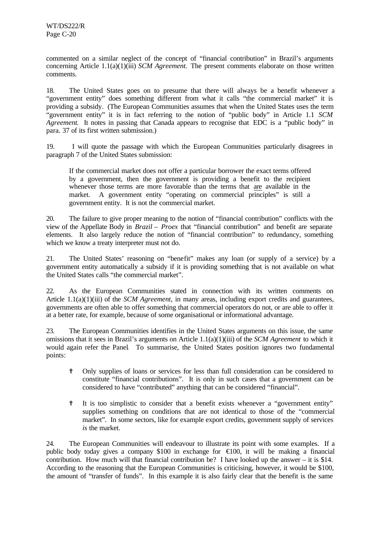commented on a similar neglect of the concept of "financial contribution" in Brazil's arguments concerning Article 1.1(a)(1)(iii) *SCM Agreement.* The present comments elaborate on those written comments.

18. The United States goes on to presume that there will always be a benefit whenever a "government entity" does something different from what it calls "the commercial market" it is providing a subsidy. (The European Communities assumes that when the United States uses the term "government entity" it is in fact referring to the notion of "public body" in Article 1.1 *SCM Agreement*. It notes in passing that Canada appears to recognise that EDC is a "public body" in para. 37 of its first written submission.)

19. I will quote the passage with which the European Communities particularly disagrees in paragraph 7 of the United States submission:

If the commercial market does not offer a particular borrower the exact terms offered by a government, then the government is providing a benefit to the recipient whenever those terms are more favorable than the terms that are available in the market. A government entity "operating on commercial principles" is still a government entity. It is not the commercial market.

20. The failure to give proper meaning to the notion of "financial contribution" conflicts with the view of the Appellate Body in *Brazil – Proex* that "financial contribution" and benefit are separate elements. It also largely reduce the notion of "financial contribution" to redundancy, something which we know a treaty interpreter must not do.

21. The United States' reasoning on "benefit" makes any loan (or supply of a service) by a government entity automatically a subsidy if it is providing something that is not available on what the United States calls "the commercial market".

22. As the European Communities stated in connection with its written comments on Article 1.1(a)(1)(iii) of the *SCM Agreement,* in many areas, including export credits and guarantees, governments are often able to offer something that commercial operators do not, or are able to offer it at a better rate, for example, because of some organisational or informational advantage.

23. The European Communities identifies in the United States arguments on this issue, the same omissions that it sees in Brazil's arguments on Article 1.1(a)(1)(iii) of the *SCM Agreement* to which it would again refer the Panel*.* To summarise, the United States position ignores two fundamental points:

- ? Only supplies of loans or services for less than full consideration can be considered to constitute "financial contributions". It is only in such cases that a government can be considered to have "contributed" anything that can be considered "financial".
- <sup>†</sup> It is too simplistic to consider that a benefit exists whenever a "government entity" supplies something on conditions that are not identical to those of the "commercial market". In some sectors, like for example export credits, government supply of services *is* the market.

24. The European Communities will endeavour to illustrate its point with some examples. If a public body today gives a company \$100 in exchange for  $\infty$  00, it will be making a financial contribution. How much will that financial contribution be? I have looked up the answer – it is \$14. According to the reasoning that the European Communities is criticising, however, it would be \$100, the amount of "transfer of funds". In this example it is also fairly clear that the benefit is the same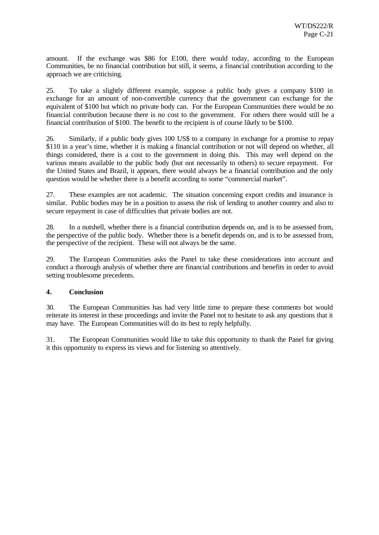amount. If the exchange was \$86 for E100, there would today, according to the European Communities, be no financial contribution but still, it seems, a financial contribution according to the approach we are criticising.

25. To take a slightly different example, suppose a public body gives a company \$100 in exchange for an amount of non-convertible currency that the government can exchange for the equivalent of \$100 but which no private body can. For the European Communities there would be no financial contribution because there is no cost to the government. For others there would still be a financial contribution of \$100. The benefit to the recipient is of course likely to be \$100.

26. Similarly, if a public body gives 100 US\$ to a company in exchange for a promise to repay \$110 in a year's time, whether it is making a financial contribution or not will depend on whether, all things considered, there is a cost to the government in doing this. This may well depend on the various means available to the public body (but not necessarily to others) to secure repayment. For the United States and Brazil, it appears, there would always be a financial contribution and the only question would be whether there is a benefit according to some "commercial market".

27. These examples are not academic. The situation concerning export credits and insurance is similar. Public bodies may be in a position to assess the risk of lending to another country and also to secure repayment in case of difficulties that private bodies are not.

28. In a nutshell, whether there is a financial contribution depends on, and is to be assessed from, the perspective of the public body. Whether there is a benefit depends on, and is to be assessed from, the perspective of the recipient. These will not always be the same.

29. The European Communities asks the Panel to take these considerations into account and conduct a thorough analysis of whether there are financial contributions and benefits in order to avoid setting troublesome precedents.

## **4. Conclusion**

30. The European Communities has had very little time to prepare these comments but would reiterate its interest in these proceedings and invite the Panel not to hesitate to ask any questions that it may have. The European Communities will do its best to reply helpfully.

31. The European Communities would like to take this opportunity to thank the Panel for giving it this opportunity to express its views and for listening so attentively.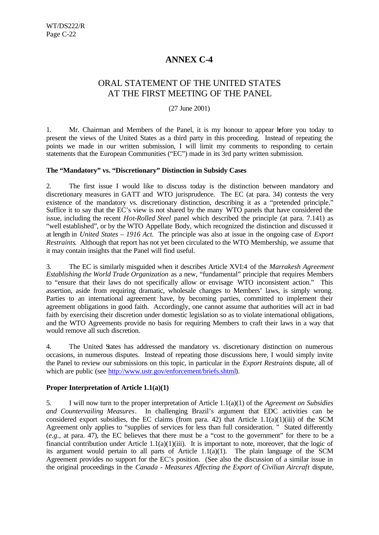## **ANNEX C-4**

## ORAL STATEMENT OF THE UNITED STATES AT THE FIRST MEETING OF THE PANEL

(27 June 2001)

1. Mr. Chairman and Members of the Panel, it is my honour to appear before you today to present the views of the United States as a third party in this proceeding. Instead of repeating the points we made in our written submission, I will limit my comments to responding to certain statements that the European Communities ("EC") made in its 3rd party written submission.

### **The "Mandatory" vs. "Discretionary" Distinction in Subsidy Cases**

2. The first issue I would like to discuss today is the distinction between mandatory and discretionary measures in GATT and WTO jurisprudence. The EC (at para. 34) contests the very existence of the mandatory vs. discretionary distinction, describing it as a "pretended principle." Suffice it to say that the EC's view is not shared by the many WTO panels that have considered the issue, including the recent *Hot-Rolled Steel* panel which described the principle (at para. 7.141) as "well established", or by the WTO Appellate Body, which recognized the distinction and discussed it at length in *United States – 1916 Act.* The principle was also at issue in the ongoing case of *Export Restraints*. Although that report has not yet been circulated to the WTO Membership, we assume that it may contain insights that the Panel will find useful.

3. The EC is similarly misguided when it describes Article XVI:4 of the *Marrakesh Agreement Establishing the World Trade Organization* as a new, "fundamental" principle that requires Members to "ensure that their laws do not specifically allow or envisage WTO inconsistent action." This assertion, aside from requiring dramatic, wholesale changes to Members' laws, is simply wrong. Parties to an international agreement have, by becoming parties, committed to implement their agreement obligations in good faith. Accordingly, one cannot assume that authorities will act in bad faith by exercising their discretion under domestic legislation so as to violate international obligations, and the WTO Agreements provide no basis for requiring Members to craft their laws in a way that would remove all such discretion.

4. The United States has addressed the mandatory vs. discretionary distinction on numerous occasions, in numerous disputes. Instead of repeating those discussions here, I would simply invite the Panel to review our submissions on this topic, in particular in the *Export Restraints* dispute, all of which are public (see http://www.ustr.gov/enforcement/briefs.shtml).

## **Proper Interpretation of Article 1.1(a)(1)**

5. I will now turn to the proper interpretation of Article 1.1(a)(1) of the *Agreement on Subsidies and Countervailing Measures*. In challenging Brazil's argument that EDC activities can be considered export subsidies, the EC claims (from para. 42) that Article  $1.1(a)(1)(iii)$  of the SCM Agreement only applies to "supplies of services for less than full consideration. " Stated differently (*e.g.*, at para. 47), the EC believes that there must be a "cost to the government" for there to be a financial contribution under Article 1.1(a)(1)(iii). It is important to note, moreover, that the logic of its argument would pertain to all parts of Article  $1.1(a)(1)$ . The plain language of the SCM Agreement provides no support for the EC's position. (See also the discussion of a similar issue in the original proceedings in the *Canada - Measures Affecting the Export of Civilian Aircraft* dispute,